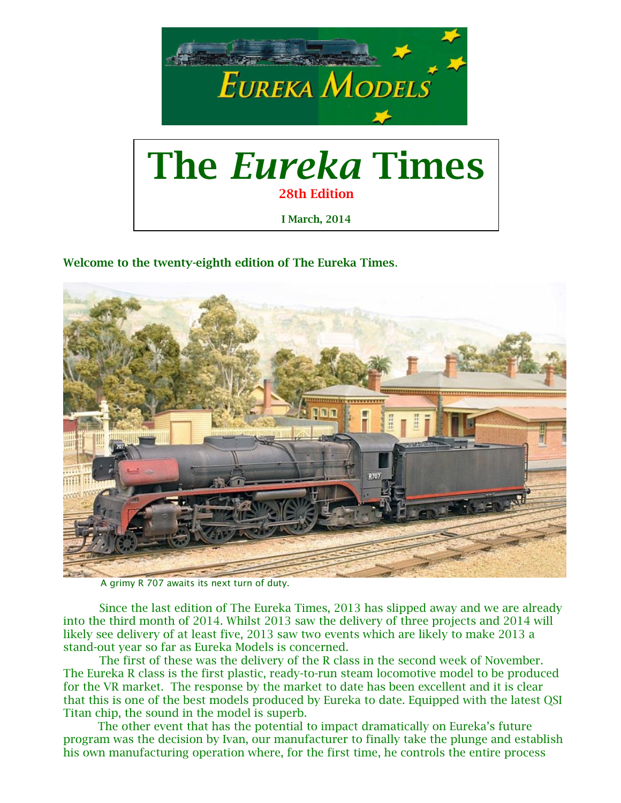

**Welcome to the twenty-eighth edition of The Eureka Times**.



A grimy R 707 awaits its next turn of duty.

Since the last edition of The Eureka Times, 2013 has slipped away and we are already into the third month of 2014. Whilst 2013 saw the delivery of three projects and 2014 will likely see delivery of at least five, 2013 saw two events which are likely to make 2013 a stand-out year so far as Eureka Models is concerned.

The first of these was the delivery of the R class in the second week of November. The Eureka R class is the first plastic, ready-to-run steam locomotive model to be produced for the VR market. The response by the market to date has been excellent and it is clear that this is one of the best models produced by Eureka to date. Equipped with the latest QSI Titan chip, the sound in the model is superb.

 The other event that has the potential to impact dramatically on Eureka's future program was the decision by Ivan, our manufacturer to finally take the plunge and establish his own manufacturing operation where, for the first time, he controls the entire process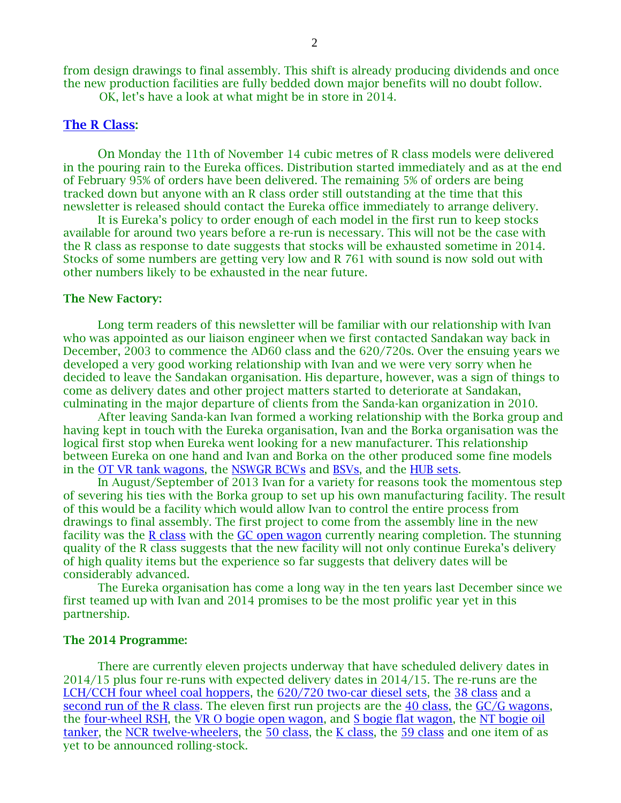from design drawings to final assembly. This shift is already producing dividends and once the new production facilities are fully bedded down major benefits will no doubt follow.

OK, let's have a look at what might be in store in 2014.

#### **[The R Class:](http://eurekamodels.com.au/R.html)**

On Monday the 11th of November 14 cubic metres of R class models were delivered in the pouring rain to the Eureka offices. Distribution started immediately and as at the end of February 95% of orders have been delivered. The remaining 5% of orders are being tracked down but anyone with an R class order still outstanding at the time that this newsletter is released should contact the Eureka office immediately to arrange delivery.

It is Eureka's policy to order enough of each model in the first run to keep stocks available for around two years before a re-run is necessary. This will not be the case with the R class as response to date suggests that stocks will be exhausted sometime in 2014. Stocks of some numbers are getting very low and R 761 with sound is now sold out with other numbers likely to be exhausted in the near future.

#### **The New Factory:**

Long term readers of this newsletter will be familiar with our relationship with Ivan who was appointed as our liaison engineer when we first contacted Sandakan way back in December, 2003 to commence the AD60 class and the 620/720s. Over the ensuing years we developed a very good working relationship with Ivan and we were very sorry when he decided to leave the Sandakan organisation. His departure, however, was a sign of things to come as delivery dates and other project matters started to deteriorate at Sandakan, culminating in the major departure of clients from the Sanda-kan organization in 2010.

After leaving Sanda-kan Ivan formed a working relationship with the Borka group and having kept in touch with the Eureka organisation, Ivan and the Borka organisation was the logical first stop when Eureka went looking for a new manufacturer. This relationship between Eureka on one hand and Ivan and Borka on the other produced some fine models in the [OT VR tank wagons,](http://eurekamodels.com.au/vr_twoil.html) the [NSWGR BCWs](http://eurekamodels.com.au/bcw.html) and [BSVs,](http://eurekamodels.com.au/bsv.html) and the [HUB sets.](http://eurekamodels.com.au/hub.html)

In August/September of 2013 Ivan for a variety for reasons took the momentous step of severing his ties with the Borka group to set up his own manufacturing facility. The result of this would be a facility which would allow Ivan to control the entire process from drawings to final assembly. The first project to come from the assembly line in the new facility was the [R class](http://eurekamodels.com.au/R.html) with the [GC open wagon](http://eurekamodels.com.au/gc_open.html) currently nearing completion. The stunning quality of the R class suggests that the new facility will not only continue Eureka's delivery of high quality items but the experience so far suggests that delivery dates will be considerably advanced.

The Eureka organisation has come a long way in the ten years last December since we first teamed up with Ivan and 2014 promises to be the most prolific year yet in this partnership.

#### **The 2014 Programme:**

There are currently eleven projects underway that have scheduled delivery dates in 2014/15 plus four re-runs with expected delivery dates in 2014/15. The re-runs are the [LCH/CCH four wheel coal hoppers,](http://eurekamodels.com.au/lch-cch-chg.html) the [620/720 two-car diesel sets,](http://eurekamodels.com.au/620.html) the [38 class](http://eurekamodels.com.au/C38.html) and a [second run of the R class.](http://eurekamodels.com.au/R.html) The eleven first run projects are the [40 class,](http://eurekamodels.com.au/40.html) the [GC/G wagons,](http://eurekamodels.com.au/gc_open.html) the [four-wheel RSH,](http://eurekamodels.com.au/rsh.html) the [VR O bogie open wagon,](http://eurekamodels.com.au/vr_e_sar_o_open.html) and [S bogie flat wagon,](http://eurekamodels.com.au/vr_s_flat.html) the [NT bogie oil](http://eurekamodels.com.au/ntaf.html)  [tanker,](http://eurekamodels.com.au/ntaf.html) the [NCR twelve-wheelers,](http://eurekamodels.com.au/NCR_set.html) the [50 class,](http://eurekamodels.com.au/D50.html) the [K class,](http://eurekamodels.com.au/kclass.html) the [59 class](http://eurekamodels.com.au/D59.html) and one item of as yet to be announced rolling-stock.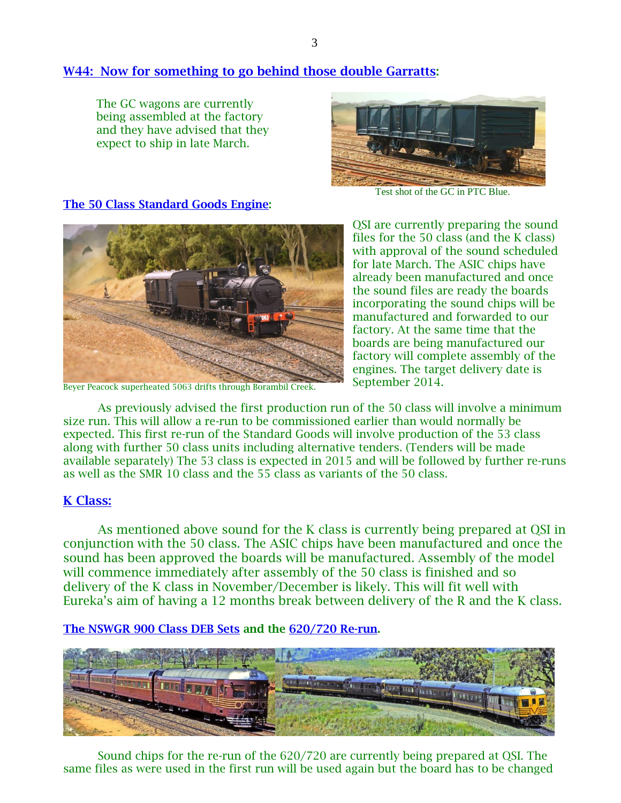# **[W44: Now for something to go behind those double Garratts:](http://eurekamodels.com.au/gc_open.html)**

The GC wagons are currently being assembled at the factory and they have advised that they expect to ship in late March.



Test shot of the GC in PTC Blue.

#### **[The 50 Class Standard Goods Engine:](http://eurekamodels.com.au/D50.html)**



Beyer Peacock superheated 5063 drifts through Borambil Creek.

QSI are currently preparing the sound files for the 50 class (and the K class) with approval of the sound scheduled for late March. The ASIC chips have already been manufactured and once the sound files are ready the boards incorporating the sound chips will be manufactured and forwarded to our factory. At the same time that the boards are being manufactured our factory will complete assembly of the engines. The target delivery date is September 2014.

As previously advised the first production run of the 50 class will involve a minimum size run. This will allow a re-run to be commissioned earlier than would normally be expected. This first re-run of the Standard Goods will involve production of the 53 class along with further 50 class units including alternative tenders. (Tenders will be made available separately) The 53 class is expected in 2015 and will be followed by further re-runs as well as the SMR 10 class and the 55 class as variants of the 50 class.

## **[K Class:](http://eurekamodels.com.au/kclass.html)**

As mentioned above sound for the K class is currently being prepared at QSI in conjunction with the 50 class. The ASIC chips have been manufactured and once the sound has been approved the boards will be manufactured. Assembly of the model will commence immediately after assembly of the 50 class is finished and so delivery of the K class in November/December is likely. This will fit well with Eureka's aim of having a 12 months break between delivery of the R and the K class.

**[The NSWGR 900 Class DEB Sets](http://eurekamodels.com.au/DEB_set.html) and the [620/720 Re-run.](http://eurekamodels.com.au/620.html)**



Sound chips for the re-run of the 620/720 are currently being prepared at QSI. The same files as were used in the first run will be used again but the board has to be changed